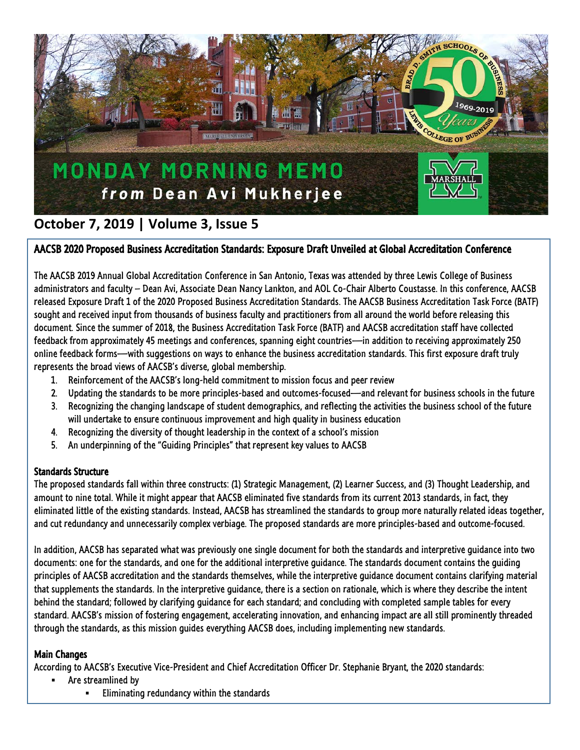

# **October 7, 2019 | Volume 3, Issue 5**

## AACSB 2020 Proposed Business Accreditation Standards: Exposure Draft Unveiled at Global Accreditation Conference

The AACSB 2019 Annual Global Accreditation Conference in San Antonio, Texas was attended by three Lewis College of Business administrators and faculty – Dean Avi, Associate Dean Nancy Lankton, and AOL Co-Chair Alberto Coustasse. In this conference, AACSB released Exposure Draft 1 of the 2020 Proposed Business Accreditation Standards. The AACSB Business Accreditation Task Force (BATF) sought and received input from thousands of business faculty and practitioners from all around the world before releasing this document. Since the summer of 2018, the Business Accreditation Task Force (BATF) and AACSB accreditation staff have collected feedback from approximately 45 meetings and conferences, spanning eight countries—in addition to receiving approximately 250 online feedback forms—with suggestions on ways to enhance the business accreditation standards. This first exposure draft truly represents the broad views of AACSB's diverse, global membership.

- 1. Reinforcement of the AACSB's long-held commitment to mission focus and peer review
- 2. Updating the standards to be more principles-based and outcomes-focused—and relevant for business schools in the future
- 3. Recognizing the changing landscape of student demographics, and reflecting the activities the business school of the future will undertake to ensure continuous improvement and high quality in business education
- 4. Recognizing the diversity of thought leadership in the context of a school's mission
- 5. An underpinning of the "Guiding Principles" that represent key values to AACSB

## Standards Structure

The proposed standards fall within three constructs: (1) Strategic Management, (2) Learner Success, and (3) Thought Leadership, and amount to nine total. While it might appear that AACSB eliminated five standards from its current 2013 standards, in fact, they eliminated little of the existing standards. Instead, AACSB has streamlined the standards to group more naturally related ideas together, and cut redundancy and unnecessarily complex verbiage. The proposed standards are more principles-based and outcome-focused.

In addition, AACSB has separated what was previously one single document for both the standards and interpretive guidance into two documents: one for the standards, and one for the additional interpretive guidance. The standards document contains the guiding principles of AACSB accreditation and the standards themselves, while the interpretive guidance document contains clarifying material that supplements the standards. In the interpretive guidance, there is a section on rationale, which is where they describe the intent behind the standard; followed by clarifying guidance for each standard; and concluding with completed sample tables for every standard. AACSB's mission of fostering engagement, accelerating innovation, and enhancing impact are all still prominently threaded through the standards, as this mission guides everything AACSB does, including implementing new standards.

## Main Changes

According to AACSB's Executive Vice-President and Chief Accreditation Officer Dr. Stephanie Bryant, the 2020 standards:

- Are streamlined by
	- Eliminating redundancy within the standards